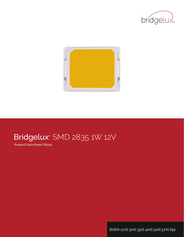



# Bridgelux® SMD 2835 1W 12V

**Product Data Sheet DS204**

**BXEN-27X| 30X| 35X| 40X| 50X| 57X| 65e**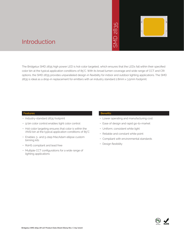# 2835  $\overline{\bigcap}$ **INS**



### Introduction

The Bridgelux SMD 2835 high power LED is hot-color targeted, which ensures that the LEDs fall within their specified color bin at the typical application conditions of 85°C. With its broad lumen coverage and wide range of CCT and CRI options, the SMD 2835 provides unparalleled design-in flexibility for indoor and outdoor lighting applications. The SMD 2835 is ideal as a drop-in replacement for emitters with an industry standard 2.8mm x 3.5mm footprint. • May thich ensures that<br>
and lumen coveraged<br>
y for indoor and out<br>
y for indoor and out<br>
Benefits<br>
• Lower operating<br>
• Ease of design a<br>
• Uniform, consiste<br>
• Reliable and con<br>
• Compliant with e<br>
• Design flexibility

#### **Features**

- Industry-standard 2835 footprint
- 9 bin color control enables tight color control
- Hot-color targeting ensures that color is within the ANSI bin at the typical application conditions of 85°C
- Enables 3- and 5-step MacAdam ellipse custom binning kits
- RoHS compliant and lead free
- Multiple CCT configurations for a wide range of lighting applications

#### **Benefits**

- Lower operating and manufacturing cost
- Ease of design and rapid go-to-market
- Uniform, consistent white light
- Reliable and constant white point
- Compliant with environmental standards
- · Design flexibility

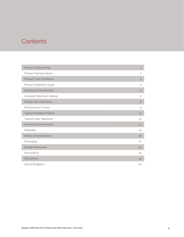### **Contents**

| Product Feature Map               | $\overline{c}$ |
|-----------------------------------|----------------|
| Product Nomenclature              | $\overline{c}$ |
| <b>Product Test Conditions</b>    | $\overline{c}$ |
| <b>Product Selection Guide</b>    | 3              |
| <b>Electrical Characteristics</b> | $\overline{4}$ |
| Absolute Maximum Ratings          | 5              |
| <b>Product Bin Definitions</b>    | 6              |
| Performance Curves                | 9              |
| <b>Typical Radiation Pattern</b>  | 12             |
| Typical Color Spectrum            | 13             |
| <b>Mechanical Dimensions</b>      | 14             |
| Reliability                       | 15             |
| <b>Reflow Characteristics</b>     | 16             |
| Packaging                         | 17             |
| Design Resources                  | 19             |
| Precautions                       | 19             |
| <b>Disclaimers</b>                | 19             |
| About Bridgelux                   | 20             |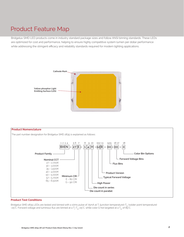### Product Feature Map

Bridgelux SMD LED products come in industry standard package sizes and follow ANSI binning standards. These LEDs are optimized for cost and performance, helping to ensure highly competitive system lumen per dollar performance while addressing the stringent efficacy and reliability standards required for modern lighting applications.





#### **Product Test Conditions**

Bridgelux SMD 2835 LEDs are tested and binned with a 10ms pulse of 75mA at T<sub>j</sub> (junction temperature)=T<sub>sp</sub> (solder point temperature) =25°C. Forward voltage and luminous flux are binned at a T<sub>j</sub>-T<sub>sp</sub>=25°C, while color is hot targeted at a T<sub>sp</sub> of 85°C.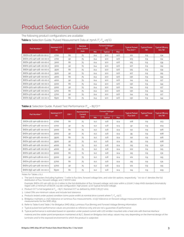### Product Selection Guide

The following product configurations are available:

#### **Table 1:** Selection Guide, Pulsed Measurement Data at 75mA (T<sub>j</sub>=T<sub>sp</sub>=25°C)

| Part Number <sup>1,6</sup> | Nominal CCT <sup>2</sup><br>CRI3.5<br>(K) |    | <b>Nominal</b><br><b>Drive Current</b> |            | Forward Voltage <sup>4.5</sup><br>(V) |            | <b>Typical Pulsed</b><br>Flux $(lm)$ <sup>4.5</sup> | <b>Typical Power</b><br>(W) | <b>Typical Efficacy</b><br>$\langle \text{Im}/\text{W} \rangle$ |
|----------------------------|-------------------------------------------|----|----------------------------------------|------------|---------------------------------------|------------|-----------------------------------------------------|-----------------------------|-----------------------------------------------------------------|
|                            |                                           |    | (mA)                                   | <b>Min</b> | <b>Typical</b>                        | <b>Max</b> |                                                     |                             |                                                                 |
| BXEN-27E-14H-12B-00-00-0   | 2700                                      | 80 | 75                                     | 11.4       | 12.0                                  | 12.6       | 121                                                 | 0.9                         | 134                                                             |
| BXEN-27G-14H-12B-00-00-0   | 2700                                      | 90 | 75                                     | 11.4       | 12.0                                  | 12.6       | 103                                                 | 0.9                         | 114                                                             |
| BXEN-30E-14H-12B-00-00-0   | 3000                                      | 80 | 75                                     | 11.4       | 12.0                                  | 12.6       | 125                                                 | 0.9                         | 139                                                             |
| BXEN-30G-14H-12B-00-00-0   | 3000                                      | 90 | 75                                     | 11.4       | 12.0                                  | 12.6       | 107                                                 | 0.9                         | 119                                                             |
| BXEN-35E-14H-12B-00-00-0   | 3500                                      | 80 | 75                                     | 11.4       | 12.0                                  | 12.6       | 125                                                 | 0.9                         | 139                                                             |
| BXEN-35G-14H-12B-00-00-0   | 3500                                      | 90 | 75                                     | 11.4       | 12.0                                  | 12.6       | 107                                                 | 0.9                         | 119                                                             |
| BXEN-40E-14H-12B-00-00-0   | 4000                                      | 80 | 75                                     | 11.4       | 12.0                                  | 12.6       | 130                                                 | 0.9                         | 144                                                             |
| BXEN-40G-14H-12B-00-00-0   | 4000                                      | 90 | 75                                     | 11.4       | 12.0                                  | 12.6       | 114                                                 | 0.9                         | 127                                                             |
| BXEN-50E-14H-12B-00-00-0   | 5000                                      | 80 | 75                                     | 11.4       | 12.0                                  | 12.6       | 130                                                 | 0.9                         | 144                                                             |
| BXEN-50G-14H-12B-00-00-0   | 5000                                      | 90 | 75                                     | 11.4       | 12.0                                  | 12.6       | 114                                                 | 0.9                         | 127                                                             |
| BXEN-57E-14H-12B-00-00-0   | 5700                                      | 80 | 75                                     | 11.4       | 12.0                                  | 12.6       | 130                                                 | 0.9                         | 144                                                             |
| BXEN-57G-14H-12B-00-00-0   | 5700                                      | 90 | 75                                     | 11.4       | 12.0                                  | 12.6       | 114                                                 | 0.9                         | 127                                                             |
| BXEN-65E-14H-12B-00-00-0   | 6500                                      | 80 | 75                                     | 11.4       | 12.0                                  | 12.6       | 130                                                 | 0.9                         | 144                                                             |

#### **Table 2:** Selection Guide, Pulsed Test Performance (T<sub>SD</sub> = 85°C)<sup>7,8</sup>

| Nominal CCT <sup>2</sup><br>Part Number <sup>1,6</sup> |      | CRI3.5 | <b>Nominal Drive</b><br><b>Current</b> |      | Forward Voltage <sup>5</sup><br>(V) |            |                        | <b>Typical Power</b> | <b>Typical Efficacy</b> |
|--------------------------------------------------------|------|--------|----------------------------------------|------|-------------------------------------|------------|------------------------|----------------------|-------------------------|
|                                                        | (K)  |        | (mA)                                   | Min  | <b>Typical</b>                      | <b>Max</b> | Flux (lm) <sup>5</sup> | (W)                  | $\frac{1}{2}$           |
| BXEN-27E-14H-12B-00-00-0                               | 2700 | 80     | 75                                     | 11.2 | 11.8                                | 12.4       | 108                    | 0.9                  | 123                     |
| BXEN-27G-14H-12B-00-00-0                               | 2700 | 90     | 75                                     | 11.2 | 11.8                                | 12.4       | 92                     | 0.9                  | 104                     |
| BXEN-30E-14H-12B-00-00-0                               | 3000 | 80     | 75                                     | 11.2 | 11.8                                | 12.4       | 112                    | 0.9                  | 126                     |
| BXEN-30G-14H-12B-00-00-0                               | 3000 | 90     | 75                                     | 11.2 | 11.8                                | 12.4       | 95                     | 0.9                  | 108                     |
| BXEN-35E-14H-12B-00-00-0                               | 3500 | 80     | 75                                     | 11.2 | 11.8                                | 12.4       | 112                    | 0.9                  | 126                     |
| BXEN-35G-14H-12B-00-00-0                               | 3500 | 90     | 75                                     | 11.2 | 11.8                                | 12.4       | 95                     | 0.9                  | 108                     |
| BXEN-40E-14H-12B-00-00-0                               | 4000 | 80     | 75                                     | 11.2 | 11.8                                | 12.4       | 115                    | 0.9                  | 130                     |
| BXEN-40G-14H-12B-00-00-0                               | 4000 | 90     | 75                                     | 11.2 | 11.8                                | 12.4       | 102                    | 0.9                  | 115                     |
| BXEN-50E-14H-12B-00-00-0                               | 5000 | 80     | 75                                     | 11.2 | 11.8                                | 12.4       | 115                    | 0.9                  | 131                     |
| BXEN-50G-14H-12B-00-00-0                               | 5000 | 90     | 75                                     | 11.2 | 11.8                                | 12.4       | 101                    | 0.9                  | 115                     |
| BXEN-57E-14H-12B-00-00-0                               | 5700 | 80     | 75                                     | 11.2 | 11.8                                | 12.4       | 115                    | 0.9                  | 131                     |
| BXEN-57G-14H-12B-00-00-0                               | 5700 | 90     | 75                                     | 11.2 | 11.8                                | 12.4       | 101                    | 0.9                  | 115                     |
| BXEN-65E-14H-12B-00-00-0                               | 6500 | 80     | 75                                     | 11.2 | 11.8                                | 12.4       | 114                    | 0.9                  | 129                     |

Notes for Tables 1 & 2:

1. The last 6 characters (including hyphens '-') refer to flux bins, forward voltage bins, and color bin options, respectively. "00-00-0" denotes the full distribution of flux, forward voltage, and 7 SDCM color.

 Example: BXEN-27E-14H-12B-00-00-0 refers to the full distribution of flux, forward voltage, and color within a 2700K 7-step ANSI standard chromaticity region with a minimum of 80CRI, 1x4 die configuration, high power, 12.0V typical forward voltage.

2. Product CCT is hot targeted at  $T_{\rm{so}}$  = 85°C. Nominal CCT as defined by ANSI C78.377-2011.

3. Listed CRIs are minimum values and include test tolerance.

4. Products tested under pulsed condition (10ms pulse width) at nominal drive current where T<sub>j</sub>=T<sub>sp</sub>=25°C.

5. Bridgelux maintains a ±7.5% tolerance on luminous flux measurements, ±0.15V tolerance on forward voltage measurements, and ±2 tolerance on CRI measurements for the SMD 2835.

6. Refer to Table 6 and Table 7 for Bridgelux SMD 2835 Luminous Flux Binning and Forward Voltage Binning information.

7. Typical pulsed test performance values are provided as reference only and are not a guarantee of performance.

8. Typical performance is estimated based on operation under pulsed current with LED emitter mounted onto a heat sink with thermal interface material and the solder point temperature maintained at 85°C. Based on Bridgelux test setup, values may vary depending on the thermal design of the luminaire and/or the exposed environment to which the product is subjected.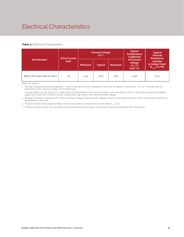### Electrical Characteristics

#### **Table 3: Electrical Characteristics**

| <b>Drive Current</b>     |      |                           | <b>Forward Voltage</b><br>$(V)$ <sup>2,3</sup> |                | <b>Typical</b><br><b>Temperature</b><br><b>Coefficient</b>  | <b>Typical</b><br><b>Thermal</b><br><b>Resistance</b>                |  |
|--------------------------|------|---------------------------|------------------------------------------------|----------------|-------------------------------------------------------------|----------------------------------------------------------------------|--|
| Part Number <sup>1</sup> | (mA) | Minimum<br><b>Typical</b> |                                                | <b>Maximum</b> | of Forward<br>Voltage<br>$\Delta V \sim \Delta T$<br>(mV/C) | <b>Junction</b><br>to Solder Point <sup>4</sup><br>$R_{j-sp}$ (°C/W) |  |
| BXEN-XXX-14H-12B-00-00-0 | 75   | 11.4                      | 12.0                                           | 12.6           | $-4.01$                                                     | 12.3                                                                 |  |

Notes for Tables 3:

1. The last 7 characters (including hyphens '-') refer to flux bins, forward voltage bins, and color bin options, respectively. "00-00-0" denotes the full distribution of flux, forward voltage, and 7 SDCM color.

 Example: BXEN-27E-14H-12B-00-00-0 refers to the full distribution of flux, forward voltage, and color within a 2700K 7-step ANSI standard chromaticity region with a minimum of 80CRI, 1x4 die configuration, high power, 12.0V typical forward voltage.

2. Bridgelux maintains a tolerance of ± 0.15V on forward voltage measurements. Voltage minimum and maximum values at the nominal drive current are guaranteed by 100% test.

3. Products tested under pulsed condition (10ms pulse width) at nominal drive current where  $T_{sp}$  = 25°C.

4. Thermal resistance value was calculated using total electrical input power; optical power was not subtracted from input power.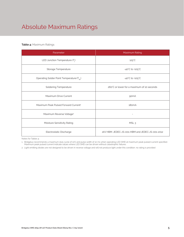# Absolute Maximum Ratings

#### **Table 4:** Maximum Ratings

| Parameter                                             | Maximum Rating                                  |  |  |  |
|-------------------------------------------------------|-------------------------------------------------|--|--|--|
| LED Junction Temperature $(T_i)$                      | $125^{\circ}$ C                                 |  |  |  |
| Storage Temperature                                   | $-40^{\circ}$ C to $+105^{\circ}$ C             |  |  |  |
| Operating Solder Point Temperature (T <sub>Sp</sub> ) | $-40^{\circ}$ C to $+105^{\circ}$ C             |  |  |  |
| <b>Soldering Temperature</b>                          | 260°C or lower for a maximum of 10 seconds      |  |  |  |
| Maximum Drive Current                                 | 90 <sub>m</sub> A                               |  |  |  |
| Maximum Peak Pulsed Forward Current <sup>1</sup>      | 180 <sub>m</sub> A                              |  |  |  |
| Maximum Reverse Voltage <sup>2</sup>                  |                                                 |  |  |  |
| Moisture Sensitivity Rating                           | MSL <sub>3</sub>                                |  |  |  |
| Electrostatic Discharge                               | 2kV HBM. JEDEC-JS-001-HBM and JEDEC-JS-001-2012 |  |  |  |

Notes for Tables 4:

1. Bridgelux recommends a maximum duty cycle of 10% and pulse width of 10 ms when operating LED SMD at maximum peak pulsed current specified. Maximum peak pulsed current indicate values where LED SMD can be driven without catastrophic failures.

2. Light emitting diodes are not designed to be driven in reverse voltage and will not produce light under this condition. no rating is provided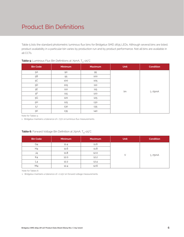### Product Bin Definitions

Table 5 lists the standard photometric luminous flux bins for Bridgelux SMD 2835 LEDs. Although several bins are listed, product availability in a particular bin varies by production run and by product performance. Not all bins are available in all CCTs.

| <b>Bin Code</b> | <b>Minimum</b> | <b>Maximum</b> | Unit | <b>Condition</b> |
|-----------------|----------------|----------------|------|------------------|
| 5A              | 90             | 95             |      |                  |
| $5\mathsf{B}$   | 95             | 100            |      |                  |
| $5C$            | 100            | 105            |      |                  |
| $5\mathsf{D}$   | 105            | 110            |      |                  |
| $5\mathsf{E}$   | 110            | 115            | lm   |                  |
| $5\mathsf{F}$   | 115            | 120            |      | $I_F = 75mA$     |
| $5\mathrm{G}$   | 120            | 125            |      |                  |
| 5H              | 125            | 130            |      |                  |
| 5J              | 130            | 135            |      |                  |
| 5K              | 135            | 140            |      |                  |

#### **Table 5:** Luminous Flux Bin Definitions at 75mA, T<sub>sp</sub>=25<sup>°</sup>C

Note for Tables 5:

1. Bridgelux maintains a tolerance of ±7.5% on luminous flux measurements.

| <b>Bin Code</b> | <b>Minimum</b> | <b>Maximum</b> | <b>Unit</b> | <b>Condition</b> |
|-----------------|----------------|----------------|-------------|------------------|
| G4              | 11.4           | 11.6           |             |                  |
| H4              | 11.6           | 11.8           |             |                  |
| J4              | 11.8           | 12.0           |             | $I_F = 75mA$     |
| K4              | 12.0           | 12.2           |             |                  |
|                 | 12.2           | 12.4           |             |                  |
| M <sub>4</sub>  | 12.4           | 12.6           |             |                  |

#### **Table 6:** Forward Voltage Bin Definition at 75mA, T<sub>sp</sub>=25°C

Note for Tables 6:

1. Bridgelux maintains a tolerance of ± 0.15V on forward voltage measurements.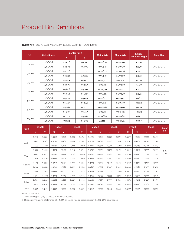### Product Bin Definitions

| <b>CCT</b> |                              |        | <b>Center Point</b> |                   |                       | <b>Ellipse</b>   |              |
|------------|------------------------------|--------|---------------------|-------------------|-----------------------|------------------|--------------|
|            | <b>Color Space</b><br>Y<br>X |        | <b>Major Axis</b>   | <b>Minor Axis</b> | <b>Rotation Angle</b> | <b>Color Bin</b> |              |
|            | 3 SDCM                       | 0.4578 | 0.4101              | 0.00810           | 0.00420               | 53.70            | $\mathbf{1}$ |
| 2700K      | 5 SDCM                       | 0.4578 | 0.4101              | 0.01350           | 0.00700               | 53.70            | 1/A/B/C/D    |
|            | 3 SDCM                       | 0.4338 | 0.4030              | 0.00834           | 0.00408               | 53.22            | $\mathbf{1}$ |
| 3000K      | 5 SDCM                       | 0.4338 | 0.4030              | 0.01390           | 0.00680               | 53.22            | 1/A/B/C/D    |
|            | 3 SDCM                       | 0.4073 | 0.3917              | 0.00927           | 0.00414               | 54.00            | $\mathbf{1}$ |
| 3500K      | 5 SDCM                       | 0.4073 | 0.3917              | 0.01545           | 0.00690               | 54.00            | 1/A/B/C/D    |
|            | 3 SDCM                       | 0.3818 | 0.3797              | 0.00939           | 0.00402               | 53.72            | $\mathbf{1}$ |
| 4000K      | 5 SDCM                       | 0.3818 | 0.3797              | 0.01565           | 0.00670               | 53.72            | 1/A/B/C/D    |
|            | 3 SDCM                       | 0.3447 | 0.3553              | 0.00822           | 0.00354               | 59.62            | $\mathbf{1}$ |
| 5000K      | 5 SDCM                       | 0.3447 | 0.3553              | 0.01370           | 0.00590               | 59.62            | 1/A/B/C/D    |
|            | 3 SDCM                       | 0.3287 | 0.3417              | 0.00746           | 0.00320               | 59.09            | $\mathbf{1}$ |
| 5700K      | 5 SDCM                       | 0.3287 | 0.3417              | 0.01243           | 0.00533               | 59.09            | 1/A/B/C/D    |
|            | 3 SDCM                       | 0.3123 | 0.3282              | 0.00669           | 0.00285               | 58.57            | $\mathbf{1}$ |
| 6500K      | 5 SDCM                       | 0.3123 | 0.3282              | 0.01115           | 0.00475               | 58.57            | 1/A/B/C/D    |

**Table 7:** 3- and 5-step MacAdam Ellipse Color Bin Definitions

| <b>Point</b> | <b>2700K</b> |        |             | 3000K  |        | 3500K  |        | 4000K  |        | 5000K  |             | 5700K  |        | 6500K  | Color      |
|--------------|--------------|--------|-------------|--------|--------|--------|--------|--------|--------|--------|-------------|--------|--------|--------|------------|
|              | x            | У      | $\mathbf x$ | У      | x      | У      | x      | У      | x      | y      | $\mathbf x$ | y      | x      | У      | <b>Bin</b> |
|              | 0.4813       | 0.4319 | 0.4562      | 0.4260 | 0.4299 | 0.4165 | 0.4006 | 0.4044 | 0.3551 | 0.3760 | 0.3376      | 0.3616 | 0.3205 | 0.3481 |            |
| <b>ANSI</b>  | 0.4562       | 0.426  | 0.4299      | 0.4165 | 0.3996 | 0.4015 | 0.3736 | 0.3874 | 0.3376 | 0.3616 | 0.3207      | 0.3462 | 0.3028 | 0.3304 |            |
|              | 0.4373       | 0.3893 | 0.4147      | 0.3814 | 0.3889 | 0.3690 | 0.3670 | 0.3578 | 0.3366 | 0.3369 | 0.3222      | 0.3243 | 0.3068 | 0.3113 |            |
|              | 0.4593       | 0.3944 | 0.4373      | 0.3893 | 0.4147 | 0.3814 | 0.3898 | 0.3716 | 0.3515 | 0.3487 | 0.3366      | 0.3369 | 0.3221 | 0.3261 | E/F/       |
|              | 0.4687       | 0.4289 | 0.4431      | 0.4213 | 0.4148 | 0.4090 | 0.3871 | 0.3959 | 0.3463 | 0.3687 | 0.3290      | 0.3538 | 0.3115 | 0.3391 | G/H        |
| V-up         | 0.4618       | 0.4170 | 0.4377      | 0.4101 | 0.4112 | 0.3996 | 0.3847 | 0.3873 | 0.3457 | 0.3617 | 0.3290      | 0.3470 | 0.3124 | 0.3328 |            |
|              | 0.4483       | 0.3919 | 0.4260      | 0.3854 | 0.4018 | 0.3752 | 0.3784 | 0.3647 | 0.3440 | 0.3427 | 0.3290      | 0.3300 | 0.3144 | 0.3186 |            |
| V-down       | 0.4542       | 0.4031 | 0.4310      | 0.3960 | 0.4053 | 0.3844 | 0.3807 | 0.3730 | 0.3445 | 0.3495 | 0.3290      | 0.3369 | 0.3135 | 0.3250 |            |
|              | 0.4468       | 0.4077 | 0.4223      | 0.3990 | 0.3941 | 0.3848 | 0.3702 | 0.3722 | 0.3371 | 0.3490 | 0.3215      | 0.3350 | 0.3048 | 0.3207 |            |
| H-left       | 0.4524       | 0.4089 | 0.4283      | 0.4013 | 0.4012 | 0.3885 | 0.3755 | 0.3755 | 0.3395 | 0.3509 | 0.3240      | 0.3372 | 0.3081 | 0.3240 |            |
|              | 0.4703       | 0.4132 | 0.4468      | 0.4077 | 0.4223 | 0.3990 | 0.3950 | 0.3875 | 0.3533 | 0.3620 | 0.3371      | 0.3490 | 0.3213 | 0.3373 |            |
| H-right      | 0.4632       | 0.4115 | 0.4394      | 0.4052 | 0.4133 | 0.3945 | 0.3880 | 0.3834 | 0.3498 | 0.3592 | 0.3334      | 0.3456 | 0.3165 | 0.3325 |            |
| Center       | 0.4578       | 0.4101 | 0.4338      | 0.4030 | 0.4073 | 0.3917 | 0.3818 | 0.3797 | 0.3447 | 0.3553 | 0.3287      | 0.3417 | 0.3123 | 0.3282 |            |

Notes for Tables 7:

1. Color binning at  $T_{\text{on}}$ =85°C unless otherwise specified

2. Bridgelux maintains a tolerance of ± 0.007 on x and y color coordinates in the CIE 1931 color space.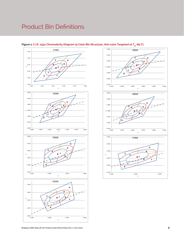### Product Bin Definitions



#### Figure 1: C.I.E. 1931 Chromaticity Diagram (9 Color Bin Structure, Hot-color Targeted at T<sub>sp</sub>=85°C)





**C**

**G**

0.2980 0.3080 0.3180 0.3280

x

 $0.3050$   $+ 0.2980$ 

0.3150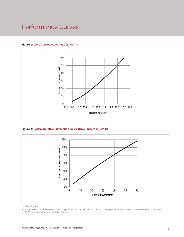### Performance Curves

#### Figure 2: Drive Current vs. Voltage (T<sub>cn</sub>=25°C)



Figure 3: Typical Relative Luminous Flux vs. Drive Current (T<sub>sp</sub>=25°C)



Note for Figure 3:

<sup>1.</sup> Bridgelux does not recommend driving high power LEDs at low currents. Doing so may produce unpredictable results. Pulse width modulation (PWM) is recommended for dimming effects.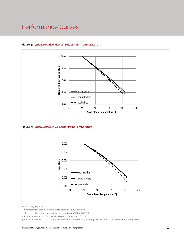### Performance Curves



#### **Figure 4: Typical Relative Flux vs. Solder Point Temperature**

**Figure 5: Typical ccx Shift vs. Solder Point Temperature**



Notes for Figures 4 & 5:

- 1. Characteristics shown for warm white based on 3000K and 80 CRI.
- 2. Characteristics shown for nuetral white based on 4000K and 80 CRI.
- 3. Characteristics shown for cool white based on 5000K and 80 CRI.

4. For other color SKUs, the shift in color will vary. Please contact your Bridgelux Sales Representative for more information.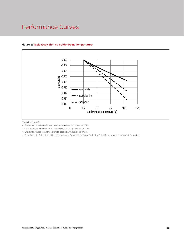### Performance Curves



#### **Figure 6: Typical ccy Shift vs. Solder Point Temperature**

Notes for Figure 6:

1. Characteristics shown for warm white based on 3000K and 80 CRI.

2. Characteristics shown for neutral white based on 4000K and 80 CRI.

3. Characteristics shown for cool white based on 5000K and 80 CRI.

4. For other color SKUs, the shift in color will vary. Please contact your Bridgelux Sales Representative for more information.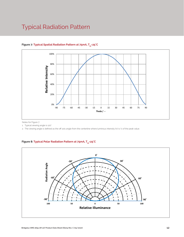### Typical Radiation Pattern



#### Figure 7: Typical Spatial Radiation Pattern at 75mA, T<sub>sp</sub>=25°C

Notes for Figure 7:

1. Typical viewing angle is 120°.

2. The viewing angle is defined as the off axis angle from the centerline where luminous intensity (Iv) is ½ of the peak value.

#### Figure 8: Typical Polar Radiation Pattern at 75mA, T<sub>sp</sub>=25°C

.

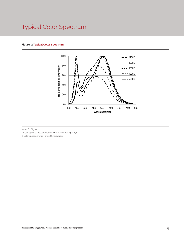### Typical Color Spectrum

#### **Figure 9: Typical Color Spectrum**



Notes for Figure 9:

1. Color spectra measured at nominal current for Tsp = 25°C

2. Color spectra shown for 80 CRI products.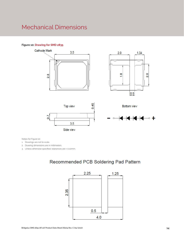### Mechanical Dimensions

#### **Figure 10: Drawing for SMD 2835**











Notes for Figure 10:

1. Drawings are not to scale.

- 2. Drawing dimensions are in millimeters.
- 3. Unless otherwise specified, tolerances are ± 0.10mm.

### Recommended PCB Soldering Pad Pattern

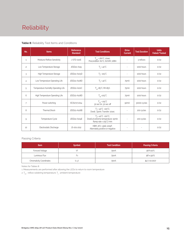# Reliability

#### **Table 8:** Reliability Test Items and Conditions

| No.            | <b>Items</b>                        | <b>Reference</b><br><b>Standard</b> | <b>Test Conditions</b>                                                                                 | <b>Drive</b><br><b>Current</b> | <b>Test Duration</b> | <b>Units</b><br>Failed/Tested |
|----------------|-------------------------------------|-------------------------------------|--------------------------------------------------------------------------------------------------------|--------------------------------|----------------------|-------------------------------|
| $\mathbf{1}$   | Moisture/Reflow Sensitivity         | J-STD-020E                          | $T_{\text{cld}}$ = 260°C, 10sec,<br>Precondition: 60°C, 60%RH, 168hr                                   | $\overline{\phantom{a}}$       | 3 reflows            | 0/22                          |
| $\overline{c}$ | Low Temperature Storage             | JESD22-A119                         | $T_a = -40^{\circ}C$                                                                                   | $\bar{a}$                      | 1000 hours           | 0/22                          |
| 3              | High Temperature Storage            | JESD22-A103D                        | $T_a = 105^{\circ}C$                                                                                   |                                | 1000 hours           | 0/22                          |
| 4              | Low Temperature Operating Life      | JESD22-A108D                        | $T_s = -40^{\circ}C$                                                                                   | 75 <sub>m</sub> A              | 1000 hours           | 0/22                          |
| 5              | Temperature Humidity Operating Life | JESD22-A101C                        | $T_{\rm sn}$ =85°C, RH=85%                                                                             | 75 <sub>m</sub> A              | 1000 hours           | 0/22                          |
| 6              | High Temperature Operating Life     | JESD22-A108D                        | $T_{\rm sn}$ =105°C                                                                                    | 75 <sub>m</sub> A              | 1000 hours           | 0/22                          |
| $\overline{7}$ | Power switching                     | IEC62717:2014                       | $T_{SD} = 105^{\circ}C$<br>30 sec on, 30 sec off                                                       | 90 <sub>m</sub> A              | 30000 cycles         | 0/22                          |
| 8              | <b>Thermal Shock</b>                | JESD22-A106B                        | $T_a = -40^{\circ}C - 100^{\circ}C$ ;<br>Dwell: 15min; Transfer: 10sec                                 | $\overline{\phantom{a}}$       | 200 cycles           | 0/22                          |
| 9              | Temperature Cycle                   | JESD22-A104E                        | $T_a = -40^{\circ}C - 100^{\circ}C$ ;<br>Dwell at extreme temperature: 15min;<br>Ramp rate < 105°C/min |                                | 200 cycles           | 0/22                          |
| 10             | Electrostatic Discharge             | JS-001-2012                         | HBM, $2KV$ , $1.5k\Omega$ , 100pF,<br>Alternately positive or negative                                 | $\overline{\phantom{a}}$       |                      | 0/22                          |

#### Passing Criteria

| <b>Item</b>                     | <b>Symbol</b> | <b>Test Condition</b> | <b>Passing Criteria</b> |
|---------------------------------|---------------|-----------------------|-------------------------|
| Forward Voltage                 |               | 75 <sub>m</sub> A     | ΔVf<10%                 |
| Luminous Flux                   | ۲v            | 75 <sub>m</sub> A     | ΔFν<30%                 |
| <b>Chromaticity Coordinates</b> | (x, y)        | 75 <sub>m</sub> A     | Δu'v'<0.007             |

Notes for Tables 8:

1. Measurements are performed after allowing the LEDs to return to room temperature

2.  $\mathsf{T}_{_{\mathsf{std}}}$  : reflow soldering temperature;  $\mathsf{T}_{_{\!\mathsf{a}}}$  : ambient temperature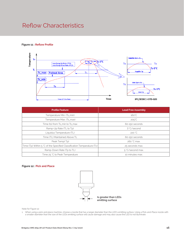### Reflow Characteristics

#### **Figure 11 : Reflow Profile**



| <b>Profile Feature</b>                                                 | <b>Lead Free Assembly</b> |  |  |  |
|------------------------------------------------------------------------|---------------------------|--|--|--|
| Temperature Min. (Ts_min)                                              | $160^{\circ}$ C           |  |  |  |
| Temperature Max. (Ts_max)                                              | $205^{\circ}$ C           |  |  |  |
| Time (ts) from Ts_min to Ts_max                                        | 60-150 seconds            |  |  |  |
| Ramp-Up Rate (TL to Tp)                                                | 3 °C/second               |  |  |  |
| Liquidus Temperature (TL)                                              | 220 °C                    |  |  |  |
| Time (TL) Maintained Above TL                                          | 60-150 seconds            |  |  |  |
| Peak Temp(Tp)                                                          | 260 °C max.               |  |  |  |
| Time (Tp) Within 5 °C of the Specified Classification Temperature (Tc) | 25 seconds max.           |  |  |  |
| Ramp-Down Rate (Tp to TL)                                              | 5 °C/second max.          |  |  |  |
| Time 25 °C to Peak Temperature                                         | 10 minutes max.           |  |  |  |

#### **Figure 12 : Pick and Place**



Note for Figure 12:

1. When using a pick and place machine, choose a nozzle that has a larger diameter than the LED's emitting surface. Using a Pick-and-Place nozzle with a smaller diameter than the size of the LEDs emitting surface will cause damage and may also cause the LED to not illuminate.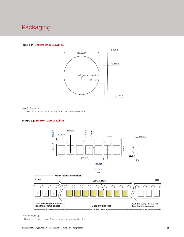### Packaging

#### **Figure 13: Emitter Reel Drawings**



Note for Figure 13:

1. Drawings are not to scale. Drawing dimensions are in millimeters.

#### **Figure 14: Emitter Tape Drawings**



![](_page_18_Figure_7.jpeg)

Note for Figure 14:

1. Drawings are not to scale. Drawing dimensions are in millimeters.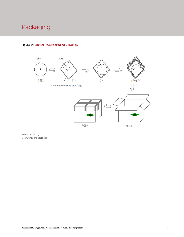### Packaging

![](_page_19_Figure_1.jpeg)

#### **Figure 15: Emitter Reel Packaging Drawings**

Note for Figure 15: 1. Drawings are not to scale.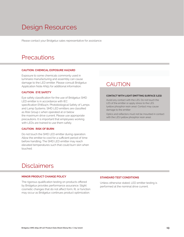# Design Resources

Please contact your Bridgelux sales representative for assistance.

### **Precautions**

#### **CAUTION: CHEMICAL EXPOSURE HAZARD**

Exposure to some chemicals commonly used in luminaire manufacturing and assembly can cause damage to the LED emitter. Please consult Bridgelux Application Note AN51 for additional information.

#### **CAUTION: EYE SAFETY**

Eye safety classification for the use of Bridgelux SMD LED emitter is in accordance with IEC specification EN62471: Photobiological Safety of Lamps and Lamp Systems. SMD LED emitters are classified as Risk Group 1 when operated at or below the maximum drive current. Please use appropriate precautions. It is important that employees working with LEDs are trained to use them safely.

#### **CAUTION: RISK OF BURN**

Do not touch the SMD LED emitter during operation. Allow the emitter to cool for a sufficient period of time before handling. The SMD LED emitter may reach elevated temperatures such that could burn skin when touched.

### **CAUTION**

#### **CONTACT WITH LIGHT EMITTING SURFACE (LES)**

Avoid any contact with the LES. Do not touch the LES of the emitter or apply stress to the LES (yellow phosphor resin area). Contact may cause damage to the emitter

Optics and reflectors must not be mounted in contact with the LES (yellow phosphor resin area).

### Disclaimers

#### **MINOR PRODUCT CHANGE POLICY**

The rigorous qualification testing on products offered by Bridgelux provides performance assurance. Slight cosmetic changes that do not affect form, fit, or function may occur as Bridgelux continues product optimization.

#### **STANDARD TEST CONDITIONS**

Unless otherwise stated, LED emitter testing is performed at the nominal drive current.